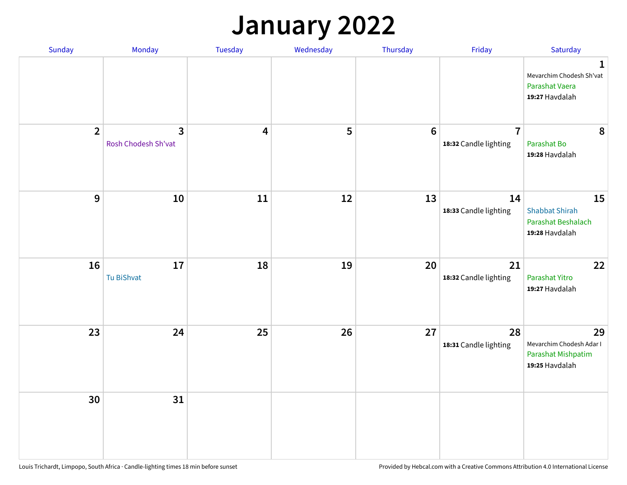## **January 2022**

| Sunday         | Monday                              | Tuesday                 | Wednesday | Thursday | Friday                                  | Saturday                                                                    |
|----------------|-------------------------------------|-------------------------|-----------|----------|-----------------------------------------|-----------------------------------------------------------------------------|
|                |                                     |                         |           |          |                                         | $\mathbf 1$<br>Mevarchim Chodesh Sh'vat<br>Parashat Vaera<br>19:27 Havdalah |
| $\overline{2}$ | $\mathbf{3}$<br>Rosh Chodesh Sh'vat | $\overline{\mathbf{4}}$ | 5         | $6\,$    | $\overline{7}$<br>18:32 Candle lighting | 8<br>Parashat Bo<br>19:28 Havdalah                                          |
| $\mathbf{9}$   | 10                                  | $11\,$                  | 12        | 13       | 14<br>18:33 Candle lighting             | 15<br><b>Shabbat Shirah</b><br>Parashat Beshalach<br>19:28 Havdalah         |
| 16             | 17<br>Tu BiShvat                    | 18                      | 19        | 20       | 21<br>18:32 Candle lighting             | 22<br>Parashat Yitro<br>19:27 Havdalah                                      |
| 23             | 24                                  | 25                      | 26        | 27       | 28<br>18:31 Candle lighting             | 29<br>Mevarchim Chodesh Adar I<br>Parashat Mishpatim<br>19:25 Havdalah      |
| 30             | 31                                  |                         |           |          |                                         |                                                                             |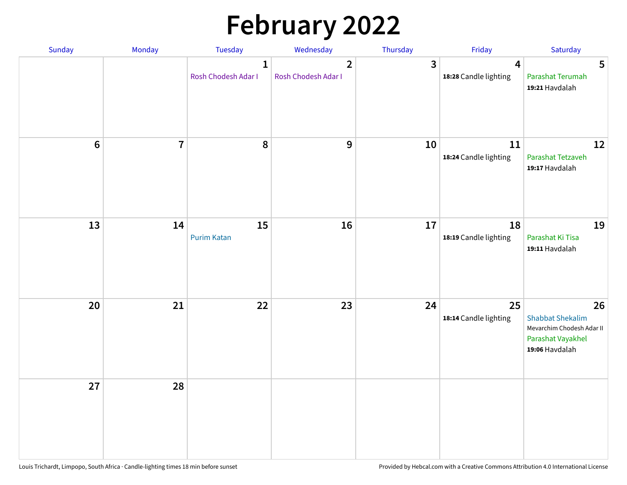# **February 2022**

| Sunday  | Monday                  | <b>Tuesday</b>                      | Wednesday                             | Thursday | Friday                                           | Saturday                                                                                          |
|---------|-------------------------|-------------------------------------|---------------------------------------|----------|--------------------------------------------------|---------------------------------------------------------------------------------------------------|
|         |                         | $\mathbf{1}$<br>Rosh Chodesh Adar I | $\overline{2}$<br>Rosh Chodesh Adar I | 3        | $\overline{\mathbf{4}}$<br>18:28 Candle lighting | 5<br>Parashat Terumah<br>19:21 Havdalah                                                           |
| $\bf 6$ | $\overline{\mathbf{7}}$ | 8                                   | 9                                     | 10       | ${\bf 11}$<br>18:24 Candle lighting              | 12<br>Parashat Tetzaveh<br>19:17 Havdalah                                                         |
| 13      | 14                      | 15<br><b>Purim Katan</b>            | 16                                    | 17       | 18<br>18:19 Candle lighting                      | 19<br>Parashat Ki Tisa<br>19:11 Havdalah                                                          |
| 20      | 21                      | 22                                  | 23                                    | 24       | 25<br>18:14 Candle lighting                      | 26<br><b>Shabbat Shekalim</b><br>Mevarchim Chodesh Adar II<br>Parashat Vayakhel<br>19:06 Havdalah |
| 27      | 28                      |                                     |                                       |          |                                                  |                                                                                                   |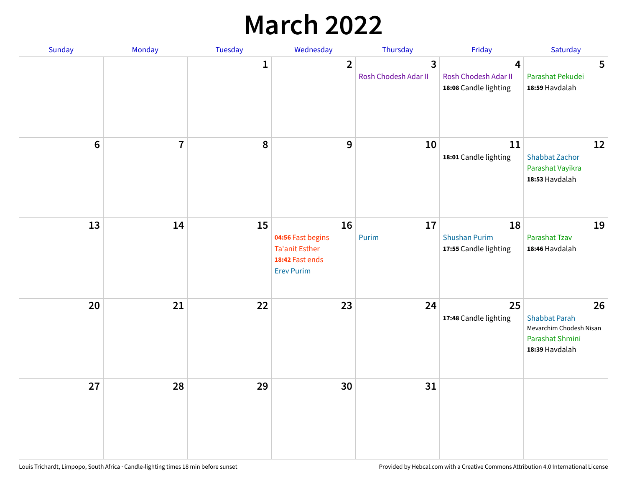## **March 2022**

| Sunday         | Monday         | Tuesday      | Wednesday                                                                                | Thursday                  | Friday                                              | Saturday                                                                                   |
|----------------|----------------|--------------|------------------------------------------------------------------------------------------|---------------------------|-----------------------------------------------------|--------------------------------------------------------------------------------------------|
|                |                | $\mathbf{1}$ | $\overline{2}$                                                                           | 3<br>Rosh Chodesh Adar II | 4<br>Rosh Chodesh Adar II<br>18:08 Candle lighting  | 5<br>Parashat Pekudei<br>18:59 Havdalah                                                    |
| $6\phantom{1}$ | $\overline{7}$ | 8            | $9$                                                                                      | 10                        | 11<br>18:01 Candle lighting                         | 12<br><b>Shabbat Zachor</b><br>Parashat Vayikra<br>18:53 Havdalah                          |
| 13             | 14             | 15           | 16<br>04:56 Fast begins<br><b>Ta'anit Esther</b><br>18:42 Fast ends<br><b>Erev Purim</b> | 17<br>Purim               | 18<br><b>Shushan Purim</b><br>17:55 Candle lighting | 19<br>Parashat Tzav<br>18:46 Havdalah                                                      |
| 20             | 21             | 22           | 23                                                                                       | 24                        | 25<br>17:48 Candle lighting                         | 26<br><b>Shabbat Parah</b><br>Mevarchim Chodesh Nisan<br>Parashat Shmini<br>18:39 Havdalah |
| 27             | 28             | 29           | 30                                                                                       | 31                        |                                                     |                                                                                            |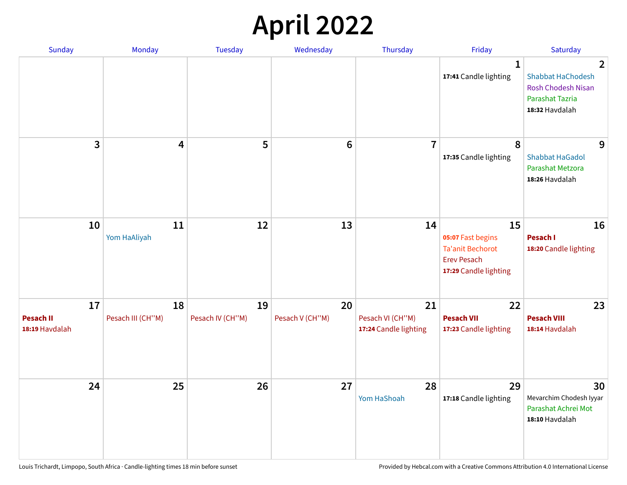## **April 2022**

| Sunday                                   | Monday                  | <b>Tuesday</b>         | Wednesday             | Thursday                                        | Friday                                                                                            | Saturday                                                                                               |
|------------------------------------------|-------------------------|------------------------|-----------------------|-------------------------------------------------|---------------------------------------------------------------------------------------------------|--------------------------------------------------------------------------------------------------------|
|                                          |                         |                        |                       |                                                 | $\mathbf{1}$<br>17:41 Candle lighting                                                             | 2<br><b>Shabbat HaChodesh</b><br><b>Rosh Chodesh Nisan</b><br><b>Parashat Tazria</b><br>18:32 Havdalah |
| 3                                        | 4                       | 5                      | $6\phantom{1}6$       | $\overline{7}$                                  | 8<br>17:35 Candle lighting                                                                        | 9<br><b>Shabbat HaGadol</b><br>Parashat Metzora<br>18:26 Havdalah                                      |
| 10                                       | 11<br>Yom HaAliyah      | 12                     | 13                    | 14                                              | 15<br>05:07 Fast begins<br><b>Ta'anit Bechorot</b><br><b>Erev Pesach</b><br>17:29 Candle lighting | 16<br>Pesach I<br>18:20 Candle lighting                                                                |
| 17<br><b>Pesach II</b><br>18:19 Havdalah | 18<br>Pesach III (CH"M) | 19<br>Pesach IV (CH"M) | 20<br>Pesach V (CH"M) | 21<br>Pesach VI (CH"M)<br>17:24 Candle lighting | 22<br><b>Pesach VII</b><br>17:23 Candle lighting                                                  | 23<br><b>Pesach VIII</b><br>18:14 Havdalah                                                             |
| 24                                       | 25                      | 26                     | 27                    | 28<br>Yom HaShoah                               | 29<br>17:18 Candle lighting                                                                       | 30<br>Mevarchim Chodesh Iyyar<br>Parashat Achrei Mot<br>18:10 Havdalah                                 |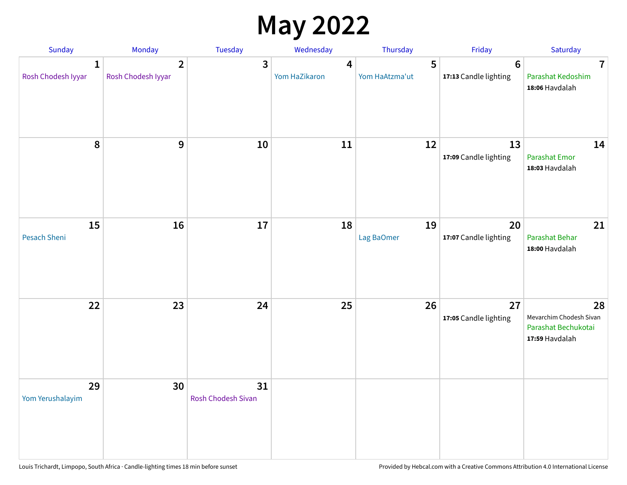## **May 2022**

| Sunday                             | Monday                               | Tuesday                         | Wednesday          | Thursday            | Friday                                  | Saturday                                                               |
|------------------------------------|--------------------------------------|---------------------------------|--------------------|---------------------|-----------------------------------------|------------------------------------------------------------------------|
| $\mathbf{1}$<br>Rosh Chodesh Iyyar | $\overline{2}$<br>Rosh Chodesh Iyyar | 3                               | 4<br>Yom HaZikaron | 5<br>Yom HaAtzma'ut | $6\phantom{1}$<br>17:13 Candle lighting | $\overline{7}$<br>Parashat Kedoshim<br>18:06 Havdalah                  |
| 8                                  | 9                                    | 10                              | 11                 | 12                  | 13<br>17:09 Candle lighting             | 14<br><b>Parashat Emor</b><br>18:03 Havdalah                           |
| 15<br>Pesach Sheni                 | 16                                   | 17                              | 18                 | 19<br>Lag BaOmer    | 20<br>17:07 Candle lighting             | 21<br>Parashat Behar<br>18:00 Havdalah                                 |
| 22                                 | 23                                   | 24                              | 25                 | 26                  | 27<br>17:05 Candle lighting             | 28<br>Mevarchim Chodesh Sivan<br>Parashat Bechukotai<br>17:59 Havdalah |
| 29<br>Yom Yerushalayim             | 30                                   | 31<br><b>Rosh Chodesh Sivan</b> |                    |                     |                                         |                                                                        |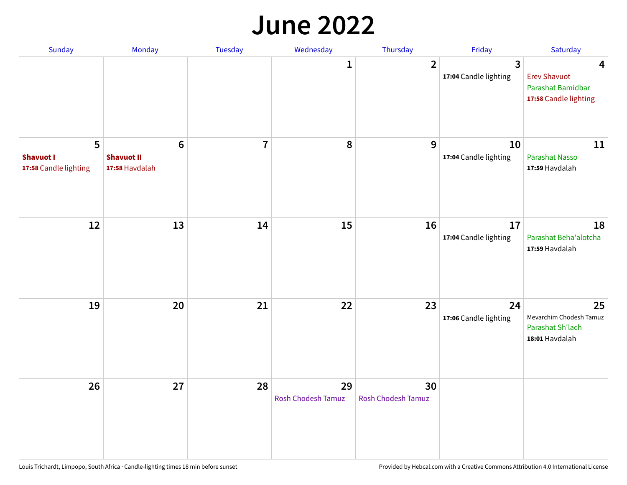#### **June 2022**

| Sunday                                         | Monday                                       | <b>Tuesday</b> | Wednesday                       | Thursday                        | Friday                      | Saturday                                                               |
|------------------------------------------------|----------------------------------------------|----------------|---------------------------------|---------------------------------|-----------------------------|------------------------------------------------------------------------|
|                                                |                                              |                | 1                               | $\overline{2}$                  | 3<br>17:04 Candle lighting  | 4<br><b>Erev Shavuot</b><br>Parashat Bamidbar<br>17:58 Candle lighting |
| 5<br><b>Shavuot I</b><br>17:58 Candle lighting | $6\,$<br><b>Shavuot II</b><br>17:58 Havdalah | $\overline{7}$ | 8                               | $9\,$                           | 10<br>17:04 Candle lighting | 11<br><b>Parashat Nasso</b><br>17:59 Havdalah                          |
| 12                                             | 13                                           | 14             | 15                              | 16                              | 17<br>17:04 Candle lighting | 18<br>Parashat Beha'alotcha<br>17:59 Havdalah                          |
| 19                                             | 20                                           | 21             | 22                              | 23                              | 24<br>17:06 Candle lighting | 25<br>Mevarchim Chodesh Tamuz<br>Parashat Sh'lach<br>18:01 Havdalah    |
| 26                                             | 27                                           | 28             | 29<br><b>Rosh Chodesh Tamuz</b> | 30<br><b>Rosh Chodesh Tamuz</b> |                             |                                                                        |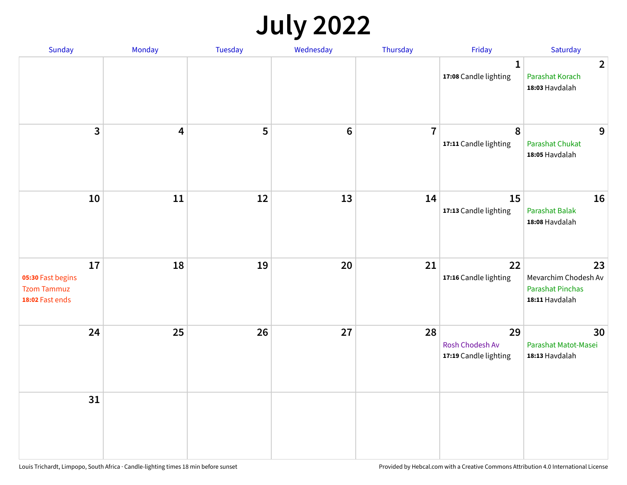## **July 2022**

| Sunday                                                           | Monday                  | Tuesday | Wednesday | Thursday       | Friday                                         | Saturday                                                                |
|------------------------------------------------------------------|-------------------------|---------|-----------|----------------|------------------------------------------------|-------------------------------------------------------------------------|
|                                                                  |                         |         |           |                | $\mathbf{1}$<br>17:08 Candle lighting          | $\overline{2}$<br>Parashat Korach<br>18:03 Havdalah                     |
| $\mathbf{3}$                                                     | $\overline{\mathbf{4}}$ | 5       | $\bf 6$   | $\overline{7}$ | $\pmb{8}$<br>17:11 Candle lighting             | 9<br>Parashat Chukat<br>18:05 Havdalah                                  |
| 10                                                               | 11                      | 12      | 13        | 14             | 15<br>17:13 Candle lighting                    | 16<br><b>Parashat Balak</b><br>18:08 Havdalah                           |
| 17<br>05:30 Fast begins<br><b>Tzom Tammuz</b><br>18:02 Fast ends | 18                      | 19      | 20        | 21             | 22<br>17:16 Candle lighting                    | 23<br>Mevarchim Chodesh Av<br><b>Parashat Pinchas</b><br>18:11 Havdalah |
| 24                                                               | 25                      | 26      | 27        | 28             | 29<br>Rosh Chodesh Av<br>17:19 Candle lighting | 30<br>Parashat Matot-Masei<br>18:13 Havdalah                            |
| 31                                                               |                         |         |           |                |                                                |                                                                         |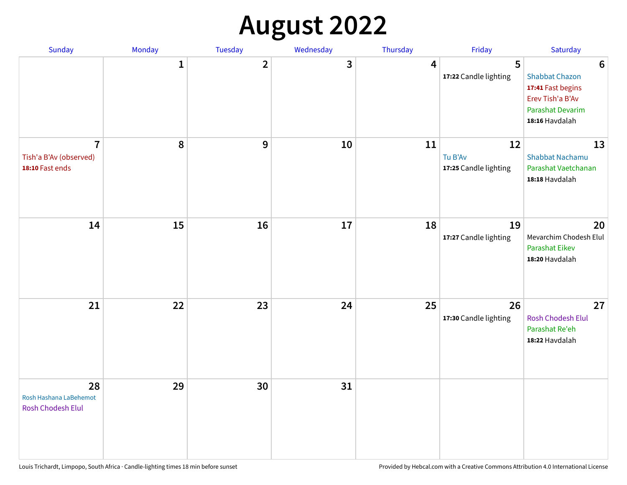## **August 2022**

| Sunday                                                      | Monday       | Tuesday      | Wednesday | Thursday | Friday                                 | Saturday                                                                                                                       |
|-------------------------------------------------------------|--------------|--------------|-----------|----------|----------------------------------------|--------------------------------------------------------------------------------------------------------------------------------|
|                                                             | $\mathbf{1}$ | $\mathbf{2}$ | 3         | 4        | 5<br>17:22 Candle lighting             | $6\phantom{1}6$<br><b>Shabbat Chazon</b><br>17:41 Fast begins<br>Erev Tish'a B'Av<br><b>Parashat Devarim</b><br>18:16 Havdalah |
| $\overline{7}$<br>Tish'a B'Av (observed)<br>18:10 Fast ends | 8            | 9            | 10        | 11       | 12<br>Tu B'Av<br>17:25 Candle lighting | 13<br><b>Shabbat Nachamu</b><br>Parashat Vaetchanan<br>18:18 Havdalah                                                          |
| 14                                                          | 15           | 16           | 17        | 18       | 19<br>17:27 Candle lighting            | 20<br>Mevarchim Chodesh Elul<br>Parashat Eikev<br>18:20 Havdalah                                                               |
| 21                                                          | 22           | 23           | 24        | 25       | 26<br>17:30 Candle lighting            | 27<br><b>Rosh Chodesh Elul</b><br>Parashat Re'eh<br>18:22 Havdalah                                                             |
| 28<br>Rosh Hashana LaBehemot<br>Rosh Chodesh Elul           | 29           | 30           | 31        |          |                                        |                                                                                                                                |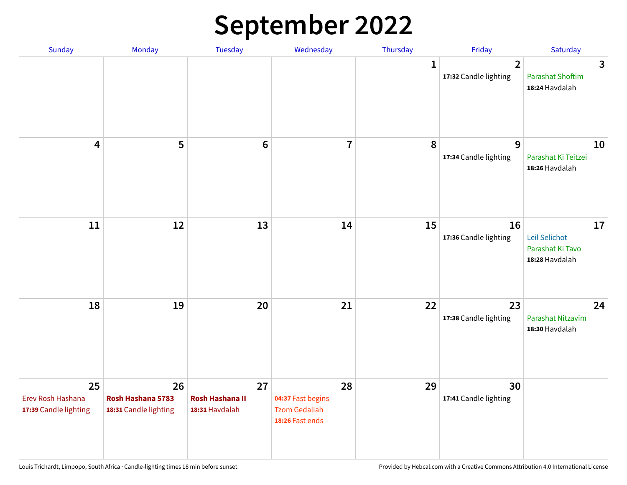## **September 2022**

| Sunday                                           | Monday                                           | Tuesday                                        | Wednesday                                                          | Thursday     | Friday                                  | Saturday                                                  |
|--------------------------------------------------|--------------------------------------------------|------------------------------------------------|--------------------------------------------------------------------|--------------|-----------------------------------------|-----------------------------------------------------------|
|                                                  |                                                  |                                                |                                                                    | $\mathbf{1}$ | $\overline{2}$<br>17:32 Candle lighting | 3<br><b>Parashat Shoftim</b><br>18:24 Havdalah            |
| $\overline{\mathbf{4}}$                          | 5                                                | $6\phantom{1}6$                                | $\overline{7}$                                                     | 8            | 9<br>17:34 Candle lighting              | 10<br>Parashat Ki Teitzei<br>18:26 Havdalah               |
| $11\,$                                           | 12                                               | 13                                             | 14                                                                 | 15           | 16<br>17:36 Candle lighting             | 17<br>Leil Selichot<br>Parashat Ki Tavo<br>18:28 Havdalah |
| 18                                               | 19                                               | 20                                             | 21                                                                 | 22           | 23<br>17:38 Candle lighting             | 24<br>Parashat Nitzavim<br>18:30 Havdalah                 |
| 25<br>Erev Rosh Hashana<br>17:39 Candle lighting | 26<br>Rosh Hashana 5783<br>18:31 Candle lighting | 27<br><b>Rosh Hashana II</b><br>18:31 Havdalah | 28<br>04:37 Fast begins<br><b>Tzom Gedaliah</b><br>18:26 Fast ends | 29           | 30<br>17:41 Candle lighting             |                                                           |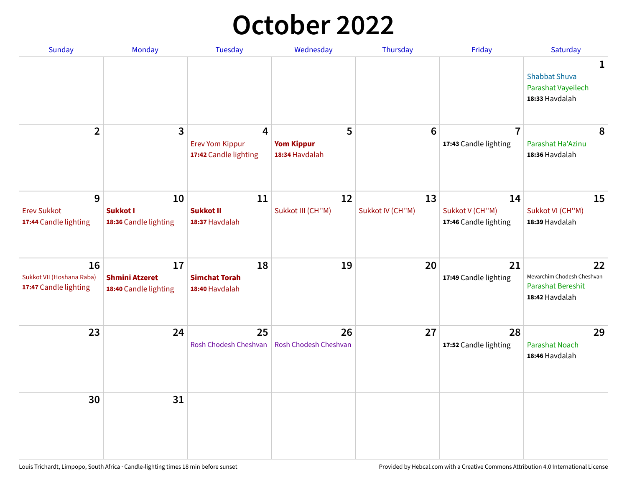## **October 2022**

| <b>Sunday</b>                                            | Monday                                               | <b>Tuesday</b>                                       | Wednesday                                | Thursday               | Friday                                         | Saturday                                                                |
|----------------------------------------------------------|------------------------------------------------------|------------------------------------------------------|------------------------------------------|------------------------|------------------------------------------------|-------------------------------------------------------------------------|
|                                                          |                                                      |                                                      |                                          |                        |                                                | 1<br><b>Shabbat Shuva</b><br>Parashat Vayeilech<br>18:33 Havdalah       |
| $\overline{2}$                                           | 3                                                    | 4<br><b>Erev Yom Kippur</b><br>17:42 Candle lighting | 5<br><b>Yom Kippur</b><br>18:34 Havdalah | 6                      | $\overline{7}$<br>17:43 Candle lighting        | 8<br>Parashat Ha'Azinu<br>18:36 Havdalah                                |
| 9<br><b>Erev Sukkot</b><br>17:44 Candle lighting         | 10<br><b>Sukkot I</b><br>18:36 Candle lighting       | 11<br><b>Sukkot II</b><br>18:37 Havdalah             | 12<br>Sukkot III (CH"M)                  | 13<br>Sukkot IV (CH"M) | 14<br>Sukkot V (CH"M)<br>17:46 Candle lighting | 15<br>Sukkot VI (CH"M)<br>18:39 Havdalah                                |
| 16<br>Sukkot VII (Hoshana Raba)<br>17:47 Candle lighting | 17<br><b>Shmini Atzeret</b><br>18:40 Candle lighting | 18<br><b>Simchat Torah</b><br>18:40 Havdalah         | 19                                       | 20                     | 21<br>17:49 Candle lighting                    | 22<br>Mevarchim Chodesh Cheshvan<br>Parashat Bereshit<br>18:42 Havdalah |
| 23                                                       | 24                                                   | 25<br>Rosh Chodesh Cheshvan                          | 26<br><b>Rosh Chodesh Cheshvan</b>       | 27                     | 28<br>17:52 Candle lighting                    | 29<br><b>Parashat Noach</b><br>18:46 Havdalah                           |
| 30                                                       | 31                                                   |                                                      |                                          |                        |                                                |                                                                         |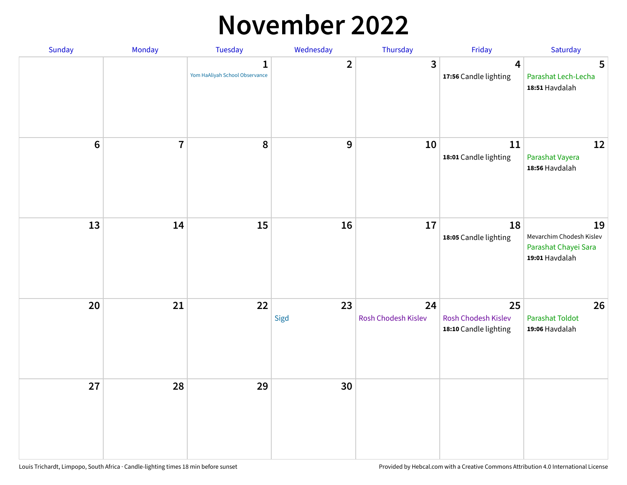### **November 2022**

| Sunday         | Monday         | Tuesday                             | Wednesday      | Thursday                  | Friday                                             | Saturday                                                                 |
|----------------|----------------|-------------------------------------|----------------|---------------------------|----------------------------------------------------|--------------------------------------------------------------------------|
|                |                | 1<br>Yom HaAliyah School Observance | $\overline{2}$ | $\overline{3}$            | $\overline{\mathbf{4}}$<br>17:56 Candle lighting   | 5<br>Parashat Lech-Lecha<br>18:51 Havdalah                               |
| $6\phantom{a}$ | $\overline{7}$ | 8                                   | $\mathbf{9}$   | 10                        | 11<br>18:01 Candle lighting                        | 12<br>Parashat Vayera<br>18:56 Havdalah                                  |
| 13             | 14             | 15                                  | 16             | 17                        | 18<br>18:05 Candle lighting                        | 19<br>Mevarchim Chodesh Kislev<br>Parashat Chayei Sara<br>19:01 Havdalah |
| 20             | 21             | 22                                  | 23<br>Sigd     | 24<br>Rosh Chodesh Kislev | 25<br>Rosh Chodesh Kislev<br>18:10 Candle lighting | 26<br><b>Parashat Toldot</b><br>19:06 Havdalah                           |
| 27             | 28             | 29                                  | 30             |                           |                                                    |                                                                          |